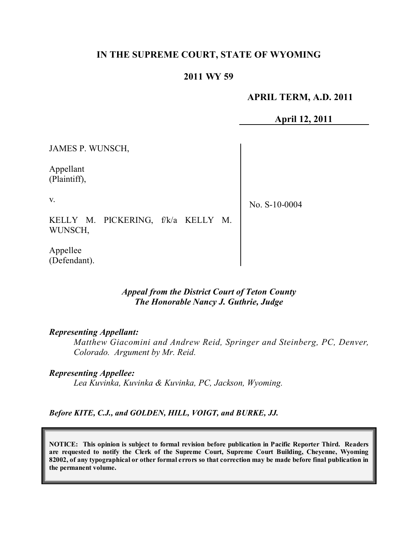## **IN THE SUPREME COURT, STATE OF WYOMING**

### **2011 WY 59**

#### **APRIL TERM, A.D. 2011**

**April 12, 2011**

JAMES P. WUNSCH, Appellant (Plaintiff), v. KELLY M. PICKERING, f/k/a KELLY M. WUNSCH, Appellee (Defendant). No. S-10-0004

### *Appeal from the District Court of Teton County The Honorable Nancy J. Guthrie, Judge*

#### *Representing Appellant:*

*Matthew Giacomini and Andrew Reid, Springer and Steinberg, PC, Denver, Colorado. Argument by Mr. Reid.*

#### *Representing Appellee:*

*Lea Kuvinka, Kuvinka & Kuvinka, PC, Jackson, Wyoming.*

*Before KITE, C.J., and GOLDEN, HILL, VOIGT, and BURKE, JJ.*

**NOTICE: This opinion is subject to formal revision before publication in Pacific Reporter Third. Readers are requested to notify the Clerk of the Supreme Court, Supreme Court Building, Cheyenne, Wyoming** 82002, of any typographical or other formal errors so that correction may be made before final publication in **the permanent volume.**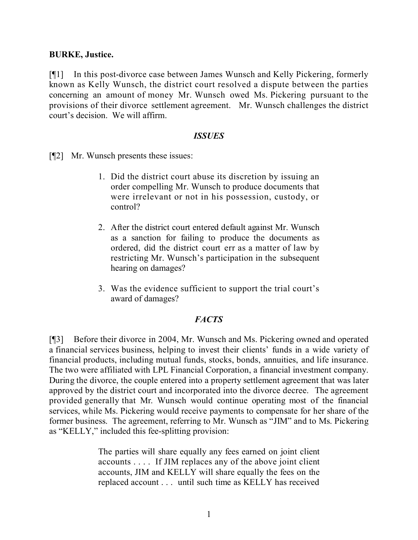### **BURKE, Justice.**

[¶1] In this post-divorce case between James Wunsch and Kelly Pickering, formerly known as Kelly Wunsch, the district court resolved a dispute between the parties concerning an amount of money Mr. Wunsch owed Ms. Pickering pursuant to the provisions of their divorce settlement agreement. Mr. Wunsch challenges the district court's decision. We will affirm.

### *ISSUES*

[¶2] Mr. Wunsch presents these issues:

- 1. Did the district court abuse its discretion by issuing an order compelling Mr. Wunsch to produce documents that were irrelevant or not in his possession, custody, or control?
- 2. After the district court entered default against Mr. Wunsch as a sanction for failing to produce the documents as ordered, did the district court err as a matter of law by restricting Mr. Wunsch's participation in the subsequent hearing on damages?
- 3. Was the evidence sufficient to support the trial court's award of damages?

## *FACTS*

[¶3] Before their divorce in 2004, Mr. Wunsch and Ms. Pickering owned and operated a financial services business, helping to invest their clients' funds in a wide variety of financial products, including mutual funds, stocks, bonds, annuities, and life insurance. The two were affiliated with LPL Financial Corporation, a financial investment company. During the divorce, the couple entered into a property settlement agreement that was later approved by the district court and incorporated into the divorce decree. The agreement provided generally that Mr. Wunsch would continue operating most of the financial services, while Ms. Pickering would receive payments to compensate for her share of the former business. The agreement, referring to Mr. Wunsch as "JIM" and to Ms. Pickering as "KELLY," included this fee-splitting provision:

> The parties will share equally any fees earned on joint client accounts . . . . If JIM replaces any of the above joint client accounts, JIM and KELLY will share equally the fees on the replaced account . . . until such time as KELLY has received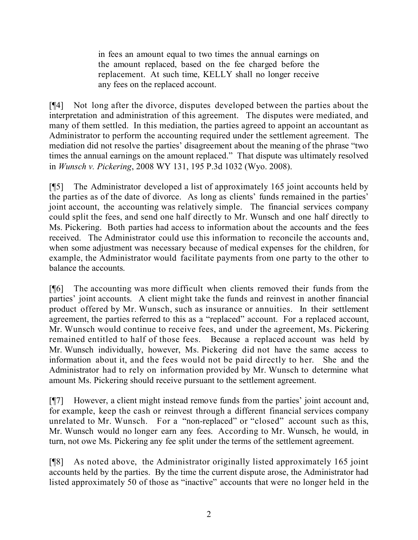in fees an amount equal to two times the annual earnings on the amount replaced, based on the fee charged before the replacement. At such time, KELLY shall no longer receive any fees on the replaced account.

[¶4] Not long after the divorce, disputes developed between the parties about the interpretation and administration of this agreement. The disputes were mediated, and many of them settled. In this mediation, the parties agreed to appoint an accountant as Administrator to perform the accounting required under the settlement agreement. The mediation did not resolve the parties' disagreement about the meaning of the phrase "two times the annual earnings on the amount replaced." That dispute was ultimately resolved in *Wunsch v. Pickering*, 2008 WY 131, 195 P.3d 1032 (Wyo. 2008).

[¶5] The Administrator developed a list of approximately 165 joint accounts held by the parties as of the date of divorce. As long as clients' funds remained in the parties' joint account, the accounting was relatively simple. The financial services company could split the fees, and send one half directly to Mr. Wunsch and one half directly to Ms. Pickering. Both parties had access to information about the accounts and the fees received. The Administrator could use this information to reconcile the accounts and, when some adjustment was necessary because of medical expenses for the children, for example, the Administrator would facilitate payments from one party to the other to balance the accounts.

[¶6] The accounting was more difficult when clients removed their funds from the parties' joint accounts. A client might take the funds and reinvest in another financial product offered by Mr. Wunsch, such as insurance or annuities. In their settlement agreement, the parties referred to this as a "replaced" account. For a replaced account, Mr. Wunsch would continue to receive fees, and under the agreement, Ms. Pickering remained entitled to half of those fees. Because a replaced account was held by Mr. Wunsch individually, however, Ms. Pickering did not have the same access to information about it, and the fees would not be paid directly to her. She and the Administrator had to rely on information provided by Mr. Wunsch to determine what amount Ms. Pickering should receive pursuant to the settlement agreement.

[¶7] However, a client might instead remove funds from the parties' joint account and, for example, keep the cash or reinvest through a different financial services company unrelated to Mr. Wunsch. For a "non-replaced" or "closed" account such as this, Mr. Wunsch would no longer earn any fees. According to Mr. Wunsch, he would, in turn, not owe Ms. Pickering any fee split under the terms of the settlement agreement.

[¶8] As noted above, the Administrator originally listed approximately 165 joint accounts held by the parties. By the time the current dispute arose, the Administrator had listed approximately 50 of those as "inactive" accounts that were no longer held in the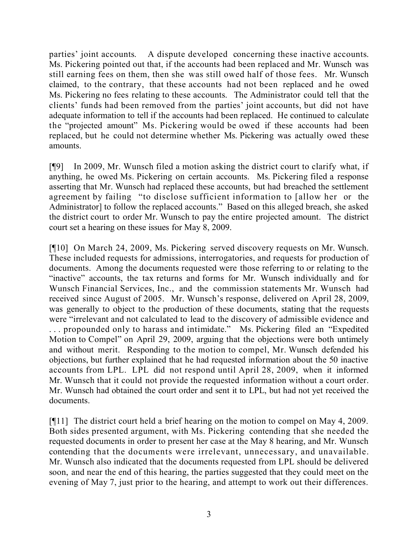parties' joint accounts. A dispute developed concerning these inactive accounts. Ms. Pickering pointed out that, if the accounts had been replaced and Mr. Wunsch was still earning fees on them, then she was still owed half of those fees. Mr. Wunsch claimed, to the contrary, that these accounts had not been replaced and he owed Ms. Pickering no fees relating to these accounts. The Administrator could tell that the clients' funds had been removed from the parties' joint accounts, but did not have adequate information to tell if the accounts had been replaced. He continued to calculate the "projected amount" Ms. Pickering would be owed if these accounts had been replaced, but he could not determine whether Ms. Pickering was actually owed these amounts.

[¶9] In 2009, Mr. Wunsch filed a motion asking the district court to clarify what, if anything, he owed Ms. Pickering on certain accounts. Ms. Pickering filed a response asserting that Mr. Wunsch had replaced these accounts, but had breached the settlement agreement by failing "to disclose sufficient information to [allow her or the Administrator] to follow the replaced accounts." Based on this alleged breach, she asked the district court to order Mr. Wunsch to pay the entire projected amount. The district court set a hearing on these issues for May 8, 2009.

[¶10] On March 24, 2009, Ms. Pickering served discovery requests on Mr. Wunsch. These included requests for admissions, interrogatories, and requests for production of documents. Among the documents requested were those referring to or relating to the "inactive" accounts, the tax returns and forms for Mr. Wunsch individually and for Wunsch Financial Services, Inc., and the commission statements Mr. Wunsch had received since August of 2005. Mr. Wunsch's response, delivered on April 28, 2009, was generally to object to the production of these documents, stating that the requests were "irrelevant and not calculated to lead to the discovery of admissible evidence and . . . propounded only to harass and intimidate." Ms. Pickering filed an "Expedited Motion to Compel" on April 29, 2009, arguing that the objections were both untimely and without merit. Responding to the motion to compel, Mr. Wunsch defended his objections, but further explained that he had requested information about the 50 inactive accounts from LPL. LPL did not respond until April 28, 2009, when it informed Mr. Wunsch that it could not provide the requested information without a court order. Mr. Wunsch had obtained the court order and sent it to LPL, but had not yet received the documents.

[¶11] The district court held a brief hearing on the motion to compel on May 4, 2009. Both sides presented argument, with Ms. Pickering contending that she needed the requested documents in order to present her case at the May 8 hearing, and Mr. Wunsch contending that the documents were irrelevant, unnecessary, and unavailable. Mr. Wunsch also indicated that the documents requested from LPL should be delivered soon, and near the end of this hearing, the parties suggested that they could meet on the evening of May 7, just prior to the hearing, and attempt to work out their differences.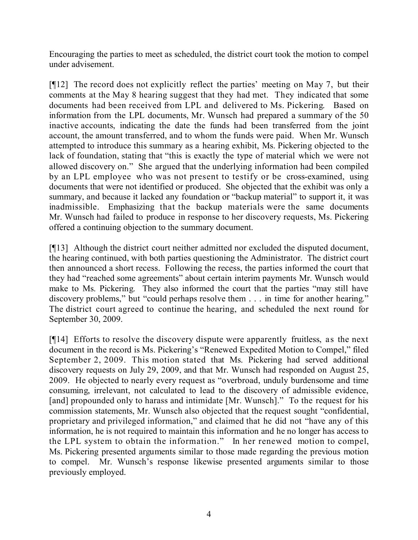Encouraging the parties to meet as scheduled, the district court took the motion to compel under advisement.

[¶12] The record does not explicitly reflect the parties' meeting on May 7, but their comments at the May 8 hearing suggest that they had met. They indicated that some documents had been received from LPL and delivered to Ms. Pickering. Based on information from the LPL documents, Mr. Wunsch had prepared a summary of the 50 inactive accounts, indicating the date the funds had been transferred from the joint account, the amount transferred, and to whom the funds were paid. When Mr. Wunsch attempted to introduce this summary as a hearing exhibit, Ms. Pickering objected to the lack of foundation, stating that "this is exactly the type of material which we were not allowed discovery on." She argued that the underlying information had been compiled by an LPL employee who was not present to testify or be cross-examined, using documents that were not identified or produced. She objected that the exhibit was only a summary, and because it lacked any foundation or "backup material" to support it, it was inadmissible. Emphasizing that the backup materials were the same documents Mr. Wunsch had failed to produce in response to her discovery requests, Ms. Pickering offered a continuing objection to the summary document.

[¶13] Although the district court neither admitted nor excluded the disputed document, the hearing continued, with both parties questioning the Administrator. The district court then announced a short recess. Following the recess, the parties informed the court that they had "reached some agreements" about certain interim payments Mr. Wunsch would make to Ms. Pickering. They also informed the court that the parties "may still have discovery problems," but "could perhaps resolve them . . . in time for another hearing." The district court agreed to continue the hearing, and scheduled the next round for September 30, 2009.

[¶14] Efforts to resolve the discovery dispute were apparently fruitless, as the next document in the record is Ms. Pickering's "Renewed Expedited Motion to Compel," filed September 2, 2009. This motion stated that Ms. Pickering had served additional discovery requests on July 29, 2009, and that Mr. Wunsch had responded on August 25, 2009. He objected to nearly every request as "overbroad, unduly burdensome and time consuming, irrelevant, not calculated to lead to the discovery of admissible evidence, [and] propounded only to harass and intimidate [Mr. Wunsch]." To the request for his commission statements, Mr. Wunsch also objected that the request sought "confidential, proprietary and privileged information," and claimed that he did not "have any of this information, he is not required to maintain this information and he no longer has access to the LPL system to obtain the information." In her renewed motion to compel, Ms. Pickering presented arguments similar to those made regarding the previous motion to compel. Mr. Wunsch's response likewise presented arguments similar to those previously employed.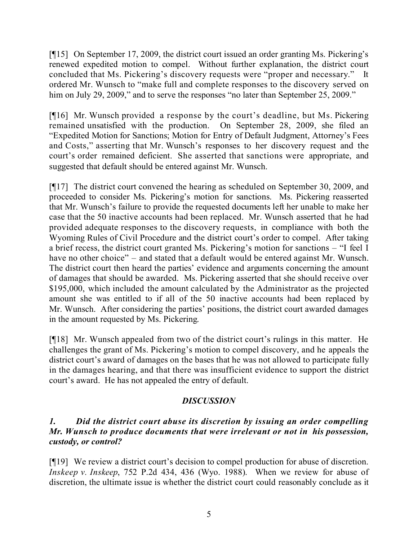[¶15] On September 17, 2009, the district court issued an order granting Ms. Pickering's renewed expedited motion to compel. Without further explanation, the district court concluded that Ms. Pickering's discovery requests were "proper and necessary." It ordered Mr. Wunsch to "make full and complete responses to the discovery served on him on July 29, 2009," and to serve the responses "no later than September 25, 2009."

[¶16] Mr. Wunsch provided a response by the court's deadline, but Ms. Pickering remained unsatisfied with the production. On September 28, 2009, she filed an "Expedited Motion for Sanctions; Motion for Entry of Default Judgment, Attorney's Fees and Costs," asserting that Mr. Wunsch's responses to her discovery request and the court's order remained deficient. She asserted that sanctions were appropriate, and suggested that default should be entered against Mr. Wunsch.

[¶17] The district court convened the hearing as scheduled on September 30, 2009, and proceeded to consider Ms. Pickering's motion for sanctions. Ms. Pickering reasserted that Mr. Wunsch's failure to provide the requested documents left her unable to make her case that the 50 inactive accounts had been replaced. Mr. Wunsch asserted that he had provided adequate responses to the discovery requests, in compliance with both the Wyoming Rules of Civil Procedure and the district court's order to compel. After taking a brief recess, the district court granted Ms. Pickering's motion for sanctions – "I feel I have no other choice" – and stated that a default would be entered against Mr. Wunsch. The district court then heard the parties' evidence and arguments concerning the amount of damages that should be awarded. Ms. Pickering asserted that she should receive over \$195,000, which included the amount calculated by the Administrator as the projected amount she was entitled to if all of the 50 inactive accounts had been replaced by Mr. Wunsch. After considering the parties' positions, the district court awarded damages in the amount requested by Ms. Pickering.

[¶18] Mr. Wunsch appealed from two of the district court's rulings in this matter. He challenges the grant of Ms. Pickering's motion to compel discovery, and he appeals the district court's award of damages on the bases that he was not allowed to participate fully in the damages hearing, and that there was insufficient evidence to support the district court's award. He has not appealed the entry of default.

# *DISCUSSION*

# *1. Did the district court abuse its discretion by issuing an order compelling Mr. Wunsch to produce documents that were irrelevant or not in his possession, custody, or control?*

[¶19] We review a district court's decision to compel production for abuse of discretion. *Inskeep v. Inskeep*, 752 P.2d 434, 436 (Wyo. 1988). When we review for abuse of discretion, the ultimate issue is whether the district court could reasonably conclude as it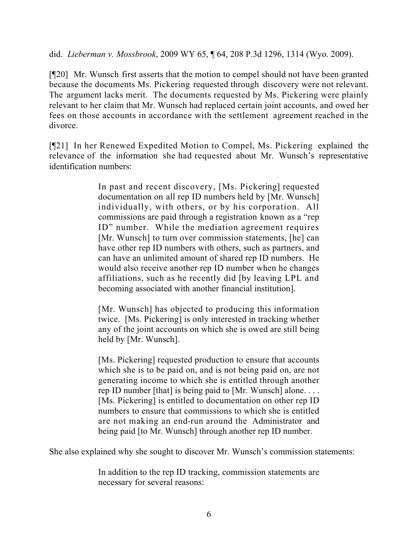did. *Lieberman v. Mossbrook*, 2009 WY 65, ¶ 64, 208 P.3d 1296, 1314 (Wyo. 2009).

[¶20] Mr. Wunsch first asserts that the motion to compel should not have been granted because the documents Ms. Pickering requested through discovery were not relevant. The argument lacks merit. The documents requested by Ms. Pickering were plainly relevant to her claim that Mr. Wunsch had replaced certain joint accounts, and owed her fees on those accounts in accordance with the settlement agreement reached in the divorce.

[¶21] In her Renewed Expedited Motion to Compel, Ms. Pickering explained the relevance of the information she had requested about Mr. Wunsch's representative identification numbers:

> In past and recent discovery, [Ms. Pickering] requested documentation on all rep ID numbers held by [Mr. Wunsch] individually, with others, or by his corporation. All commissions are paid through a registration known as a "rep ID" number. While the mediation agreement requires [Mr. Wunsch] to turn over commission statements, [he] can have other rep ID numbers with others, such as partners, and can have an unlimited amount of shared rep ID numbers. He would also receive another rep ID number when he changes affiliations, such as he recently did [by leaving LPL and becoming associated with another financial institution].

> [Mr. Wunsch] has objected to producing this information twice. [Ms. Pickering] is only interested in tracking whether any of the joint accounts on which she is owed are still being held by [Mr. Wunsch].

> [Ms. Pickering] requested production to ensure that accounts which she is to be paid on, and is not being paid on, are not generating income to which she is entitled through another rep ID number [that] is being paid to [Mr. Wunsch] alone. . . . [Ms. Pickering] is entitled to documentation on other rep ID numbers to ensure that commissions to which she is entitled are not making an end-run around the Administrator and being paid [to Mr. Wunsch] through another rep ID number.

She also explained why she sought to discover Mr. Wunsch's commission statements:

In addition to the rep ID tracking, commission statements are necessary for several reasons: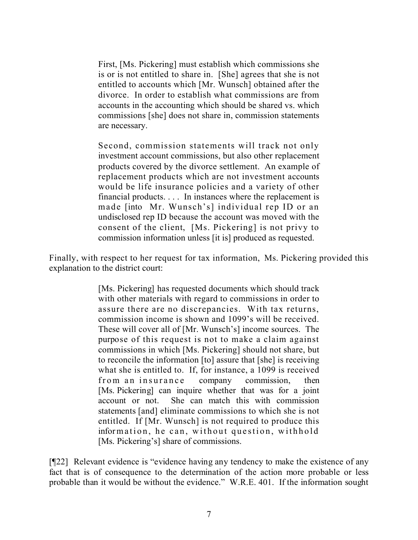First, [Ms. Pickering] must establish which commissions she is or is not entitled to share in. [She] agrees that she is not entitled to accounts which [Mr. Wunsch] obtained after the divorce. In order to establish what commissions are from accounts in the accounting which should be shared vs. which commissions [she] does not share in, commission statements are necessary.

Second, commission statements will track not only investment account commissions, but also other replacement products covered by the divorce settlement. An example of replacement products which are not investment accounts would be life insurance policies and a variety of other financial products. . . . In instances where the replacement is made [into Mr. Wunsch's] individual rep ID or an undisclosed rep ID because the account was moved with the consent of the client, [Ms. Pickering] is not privy to commission information unless [it is] produced as requested.

Finally, with respect to her request for tax information, Ms. Pickering provided this explanation to the district court:

> [Ms. Pickering] has requested documents which should track with other materials with regard to commissions in order to assure there are no discrepancies. With tax returns, commission income is shown and 1099's will be received. These will cover all of [Mr. Wunsch's] income sources. The purpose of this request is not to make a claim against commissions in which [Ms. Pickering] should not share, but to reconcile the information [to] assure that [she] is receiving what she is entitled to. If, for instance, a 1099 is received from an insurance company commission, then [Ms. Pickering] can inquire whether that was for a joint account or not. She can match this with commission statements [and] eliminate commissions to which she is not entitled. If [Mr. Wunsch] is not required to produce this information, he can, without question, withhold [Ms. Pickering's] share of commissions.

[¶22] Relevant evidence is "evidence having any tendency to make the existence of any fact that is of consequence to the determination of the action more probable or less probable than it would be without the evidence." W.R.E. 401. If the information sought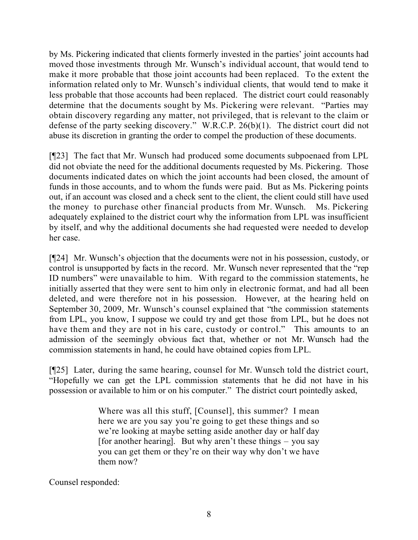by Ms. Pickering indicated that clients formerly invested in the parties' joint accounts had moved those investments through Mr. Wunsch's individual account, that would tend to make it more probable that those joint accounts had been replaced. To the extent the information related only to Mr. Wunsch's individual clients, that would tend to make it less probable that those accounts had been replaced. The district court could reasonably determine that the documents sought by Ms. Pickering were relevant. "Parties may obtain discovery regarding any matter, not privileged, that is relevant to the claim or defense of the party seeking discovery." W.R.C.P. 26(b)(1). The district court did not abuse its discretion in granting the order to compel the production of these documents.

[¶23] The fact that Mr. Wunsch had produced some documents subpoenaed from LPL did not obviate the need for the additional documents requested by Ms. Pickering. Those documents indicated dates on which the joint accounts had been closed, the amount of funds in those accounts, and to whom the funds were paid. But as Ms. Pickering points out, if an account was closed and a check sent to the client, the client could still have used the money to purchase other financial products from Mr. Wunsch. Ms. Pickering adequately explained to the district court why the information from LPL was insufficient by itself, and why the additional documents she had requested were needed to develop her case.

[¶24] Mr. Wunsch's objection that the documents were not in his possession, custody, or control is unsupported by facts in the record. Mr. Wunsch never represented that the "rep ID numbers" were unavailable to him. With regard to the commission statements, he initially asserted that they were sent to him only in electronic format, and had all been deleted, and were therefore not in his possession. However, at the hearing held on September 30, 2009, Mr. Wunsch's counsel explained that "the commission statements from LPL, you know, I suppose we could try and get those from LPL, but he does not have them and they are not in his care, custody or control." This amounts to an admission of the seemingly obvious fact that, whether or not Mr. Wunsch had the commission statements in hand, he could have obtained copies from LPL.

[¶25] Later, during the same hearing, counsel for Mr. Wunsch told the district court, "Hopefully we can get the LPL commission statements that he did not have in his possession or available to him or on his computer." The district court pointedly asked,

> Where was all this stuff, [Counsel], this summer? I mean here we are you say you're going to get these things and so we're looking at maybe setting aside another day or half day [for another hearing]. But why aren't these things  $-$  you say you can get them or they're on their way why don't we have them now?

Counsel responded: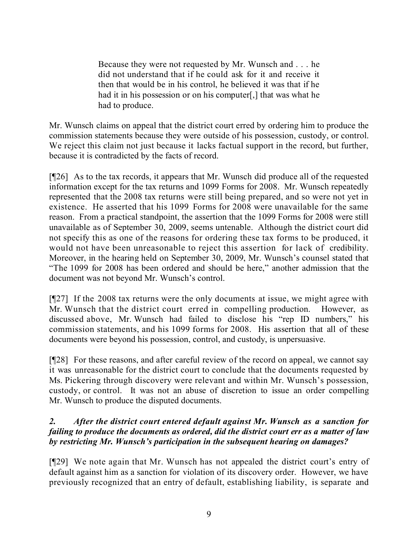Because they were not requested by Mr. Wunsch and . . . he did not understand that if he could ask for it and receive it then that would be in his control, he believed it was that if he had it in his possession or on his computer. I that was what he had to produce.

Mr. Wunsch claims on appeal that the district court erred by ordering him to produce the commission statements because they were outside of his possession, custody, or control. We reject this claim not just because it lacks factual support in the record, but further, because it is contradicted by the facts of record.

[¶26] As to the tax records, it appears that Mr. Wunsch did produce all of the requested information except for the tax returns and 1099 Forms for 2008. Mr. Wunsch repeatedly represented that the 2008 tax returns were still being prepared, and so were not yet in existence. He asserted that his 1099 Forms for 2008 were unavailable for the same reason. From a practical standpoint, the assertion that the 1099 Forms for 2008 were still unavailable as of September 30, 2009, seems untenable. Although the district court did not specify this as one of the reasons for ordering these tax forms to be produced, it would not have been unreasonable to reject this assertion for lack of credibility. Moreover, in the hearing held on September 30, 2009, Mr. Wunsch's counsel stated that "The 1099 for 2008 has been ordered and should be here," another admission that the document was not beyond Mr. Wunsch's control.

[¶27] If the 2008 tax returns were the only documents at issue, we might agree with Mr. Wunsch that the district court erred in compelling production. However, as discussed above, Mr. Wunsch had failed to disclose his "rep ID numbers," his commission statements, and his 1099 forms for 2008. His assertion that all of these documents were beyond his possession, control, and custody, is unpersuasive.

[¶28] For these reasons, and after careful review of the record on appeal, we cannot say it was unreasonable for the district court to conclude that the documents requested by Ms. Pickering through discovery were relevant and within Mr. Wunsch's possession, custody, or control. It was not an abuse of discretion to issue an order compelling Mr. Wunsch to produce the disputed documents.

# *2. After the district court entered default against Mr. Wunsch as a sanction for failing to produce the documents as ordered, did the district court err as a matter of law by restricting Mr. Wunsch's participation in the subsequent hearing on damages?*

[¶29] We note again that Mr. Wunsch has not appealed the district court's entry of default against him as a sanction for violation of its discovery order. However, we have previously recognized that an entry of default, establishing liability, is separate and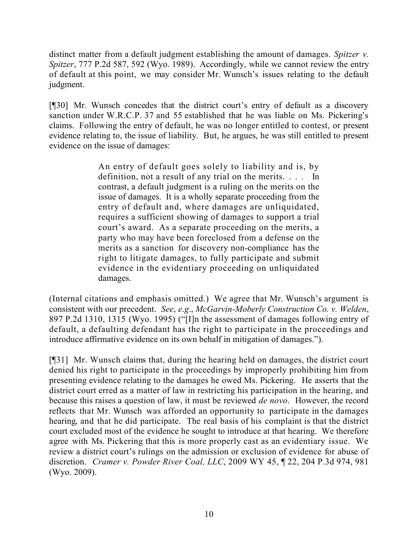distinct matter from a default judgment establishing the amount of damages. *Spitzer v. Spitzer*, 777 P.2d 587, 592 (Wyo. 1989). Accordingly, while we cannot review the entry of default at this point, we may consider Mr. Wunsch's issues relating to the default judgment.

[¶30] Mr. Wunsch concedes that the district court's entry of default as a discovery sanction under W.R.C.P. 37 and 55 established that he was liable on Ms. Pickering's claims. Following the entry of default, he was no longer entitled to contest, or present evidence relating to, the issue of liability. But, he argues, he was still entitled to present evidence on the issue of damages:

> An entry of default goes solely to liability and is, by definition, not a result of any trial on the merits. . . . In contrast, a default judgment is a ruling on the merits on the issue of damages. It is a wholly separate proceeding from the entry of default and, where damages are unliquidated, requires a sufficient showing of damages to support a trial court's award. As a separate proceeding on the merits, a party who may have been foreclosed from a defense on the merits as a sanction for discovery non-compliance has the right to litigate damages, to fully participate and submit evidence in the evidentiary proceeding on unliquidated damages.

(Internal citations and emphasis omitted.) We agree that Mr. Wunsch's argument is consistent with our precedent. *See*, *e*.*g*., *McGarvin-Moberly Construction Co. v. Welden*, 897 P.2d 1310, 1315 (Wyo. 1995) ("[I]n the assessment of damages following entry of default, a defaulting defendant has the right to participate in the proceedings and introduce affirmative evidence on its own behalf in mitigation of damages.").

[¶31] Mr. Wunsch claims that, during the hearing held on damages, the district court denied his right to participate in the proceedings by improperly prohibiting him from presenting evidence relating to the damages he owed Ms. Pickering. He asserts that the district court erred as a matter of law in restricting his participation in the hearing, and because this raises a question of law, it must be reviewed *de novo*. However, the record reflects that Mr. Wunsch was afforded an opportunity to participate in the damages hearing, and that he did participate. The real basis of his complaint is that the district court excluded most of the evidence he sought to introduce at that hearing. We therefore agree with Ms. Pickering that this is more properly cast as an evidentiary issue. We review a district court's rulings on the admission or exclusion of evidence for abuse of discretion. *Cramer v. Powder River Coal, LLC*, 2009 WY 45, ¶ 22, 204 P.3d 974, 981 (Wyo. 2009).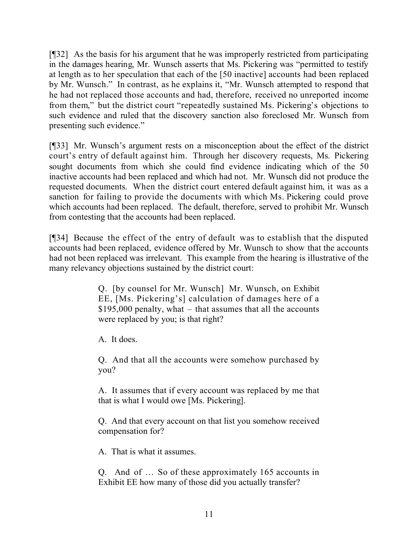[¶32] As the basis for his argument that he was improperly restricted from participating in the damages hearing, Mr. Wunsch asserts that Ms. Pickering was "permitted to testify at length as to her speculation that each of the [50 inactive] accounts had been replaced by Mr. Wunsch." In contrast, as he explains it, "Mr. Wunsch attempted to respond that he had not replaced those accounts and had, therefore, received no unreported income from them," but the district court "repeatedly sustained Ms. Pickering's objections to such evidence and ruled that the discovery sanction also foreclosed Mr. Wunsch from presenting such evidence."

[¶33] Mr. Wunsch's argument rests on a misconception about the effect of the district court's entry of default against him. Through her discovery requests, Ms. Pickering sought documents from which she could find evidence indicating which of the 50 inactive accounts had been replaced and which had not. Mr. Wunsch did not produce the requested documents. When the district court entered default against him, it was as a sanction for failing to provide the documents with which Ms. Pickering could prove which accounts had been replaced. The default, therefore, served to prohibit Mr. Wunsch from contesting that the accounts had been replaced.

[¶34] Because the effect of the entry of default was to establish that the disputed accounts had been replaced, evidence offered by Mr. Wunsch to show that the accounts had not been replaced was irrelevant. This example from the hearing is illustrative of the many relevancy objections sustained by the district court:

> Q. [by counsel for Mr. Wunsch] Mr. Wunsch, on Exhibit EE, [Ms. Pickering's] calculation of damages here of a \$195,000 penalty, what – that assumes that all the accounts were replaced by you; is that right?

A. It does.

Q. And that all the accounts were somehow purchased by you?

A. It assumes that if every account was replaced by me that that is what I would owe [Ms. Pickering].

Q. And that every account on that list you somehow received compensation for?

A. That is what it assumes.

Q. And of … So of these approximately 165 accounts in Exhibit EE how many of those did you actually transfer?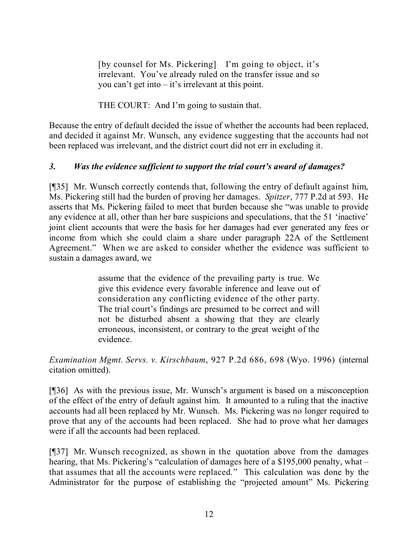[by counsel for Ms. Pickering] I'm going to object, it's irrelevant. You've already ruled on the transfer issue and so you can't get into – it's irrelevant at this point.

THE COURT: And I'm going to sustain that.

Because the entry of default decided the issue of whether the accounts had been replaced, and decided it against Mr. Wunsch, any evidence suggesting that the accounts had not been replaced was irrelevant, and the district court did not err in excluding it.

# *3. Was the evidence sufficient to support the trial court's award of damages?*

[¶35] Mr. Wunsch correctly contends that, following the entry of default against him, Ms. Pickering still had the burden of proving her damages. *Spitzer*, 777 P.2d at 593. He asserts that Ms. Pickering failed to meet that burden because she "was unable to provide any evidence at all, other than her bare suspicions and speculations, that the 51 'inactive' joint client accounts that were the basis for her damages had ever generated any fees or income from which she could claim a share under paragraph 22A of the Settlement Agreement." When we are asked to consider whether the evidence was sufficient to sustain a damages award, we

> assume that the evidence of the prevailing party is true. We give this evidence every favorable inference and leave out of consideration any conflicting evidence of the other party. The trial court's findings are presumed to be correct and will not be disturbed absent a showing that they are clearly erroneous, inconsistent, or contrary to the great weight of the evidence.

*Examination Mgmt. Servs. v. Kirschbaum*, 927 P.2d 686, 698 (Wyo. 1996) (internal citation omitted).

[¶36] As with the previous issue, Mr. Wunsch's argument is based on a misconception of the effect of the entry of default against him. It amounted to a ruling that the inactive accounts had all been replaced by Mr. Wunsch. Ms. Pickering was no longer required to prove that any of the accounts had been replaced. She had to prove what her damages were if all the accounts had been replaced.

[¶37] Mr. Wunsch recognized, as shown in the quotation above from the damages hearing, that Ms. Pickering's "calculation of damages here of a \$195,000 penalty, what – that assumes that all the accounts were replaced." This calculation was done by the Administrator for the purpose of establishing the "projected amount" Ms. Pickering